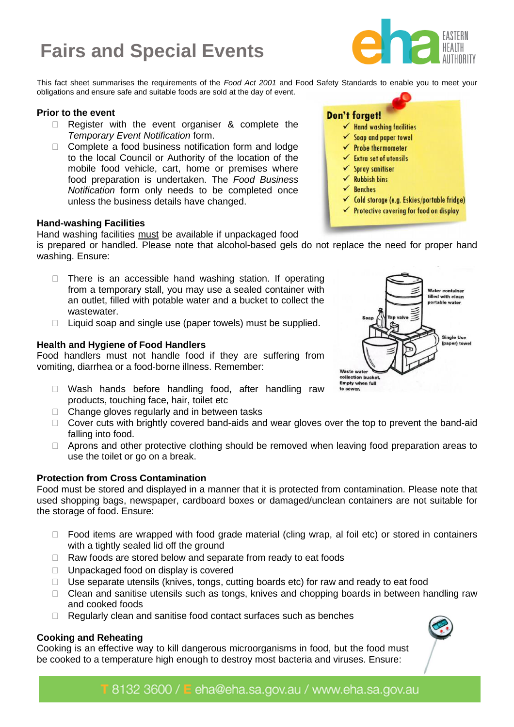# Fairs and Special Events **Fairs and Special Events**



**Don't forget!** 

 $\checkmark$  Hand washing facilities  $\checkmark$  Soap and paper towel  $\checkmark$  Probe thermometer  $\checkmark$  Extra set of utensils  $\checkmark$  Spray sanitiser  $\checkmark$  Rubbish bins **Benches** 

This fact sheet summarises the requirements of the *Food Act 2001* and Food Safety Standards to enable you to meet your obligations and ensure safe and suitable foods are sold at the day of event.

#### **Prior to the event**

- □ Register with the event organiser & complete the *Temporary Event Notification* form.
- $\Box$  Complete a food business notification form and lodge to the local Council or Authority of the location of the mobile food vehicle, cart, home or premises where food preparation is undertaken. The *Food Business Notification* form only needs to be completed once unless the business details have changed.

#### **Hand-washing Facilities**

Hand washing facilities must be available if unpackaged food

is prepared or handled. Please note that alcohol-based gels do not replace the need for proper hand washing. Ensure:

- $\Box$  There is an accessible hand washing station. If operating from a temporary stall, you may use a sealed container with an outlet, filled with potable water and a bucket to collect the wastewater.
- $\Box$  Liquid soap and single use (paper towels) must be supplied.

#### **Health and Hygiene of Food Handlers**

Food handlers must not handle food if they are suffering from vomiting, diarrhea or a food-borne illness. Remember:

- D Wash hands before handling food, after handling raw products, touching face, hair, toilet etc
- $\Box$  Change gloves regularly and in between tasks
- □ Cover cuts with brightly covered band-aids and wear gloves over the top to prevent the band-aid falling into food.
- □ Aprons and other protective clothing should be removed when leaving food preparation areas to use the toilet or go on a break.

#### **Protection from Cross Contamination**

Food must be stored and displayed in a manner that it is protected from contamination. Please note that used shopping bags, newspaper, cardboard boxes or damaged/unclean containers are not suitable for the storage of food. Ensure:

- $\Box$  Food items are wrapped with food grade material (cling wrap, al foil etc) or stored in containers with a tightly sealed lid off the ground
- $\Box$  Raw foods are stored below and separate from ready to eat foods
- □ Unpackaged food on display is covered
- $\Box$  Use separate utensils (knives, tongs, cutting boards etc) for raw and ready to eat food
- $\Box$  Clean and sanitise utensils such as tongs, knives and chopping boards in between handling raw and cooked foods
- $\Box$  Regularly clean and sanitise food contact surfaces such as benches

## **Cooking and Reheating**

Cooking is an effective way to kill dangerous microorganisms in food, but the food must be cooked to a temperature high enough to destroy most bacteria and viruses. Ensure:



← Cold storage (e.g. Eskies/portable fridge) ✔ Protective covering for food on display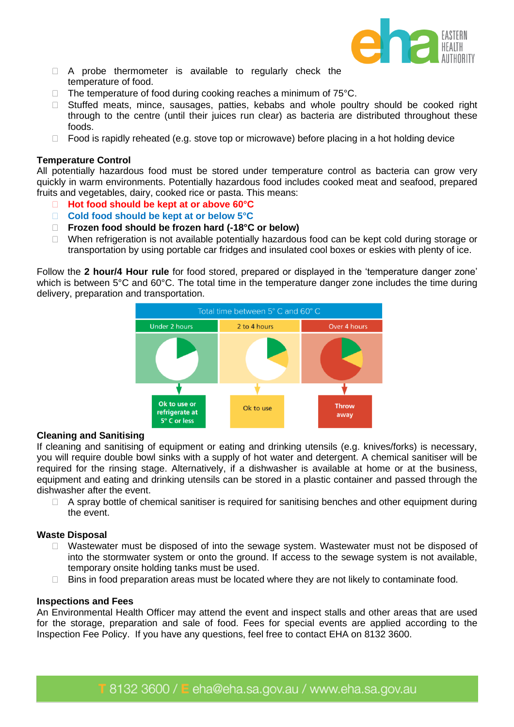

- A probe thermometer is available to regularly check the temperature of food.
- $\Box$  The temperature of food during cooking reaches a minimum of 75 $\degree$ C.
- □ Stuffed meats, mince, sausages, patties, kebabs and whole poultry should be cooked right through to the centre (until their juices run clear) as bacteria are distributed throughout these foods.
- $\Box$  Food is rapidly reheated (e.g. stove top or microwave) before placing in a hot holding device

#### **Temperature Control**

All potentially hazardous food must be stored under temperature control as bacteria can grow very quickly in warm environments. Potentially hazardous food includes cooked meat and seafood, prepared fruits and vegetables, dairy, cooked rice or pasta. This means:

- **Hot food should be kept at or above 60°C**
- **Cold food should be kept at or below 5°C**
- **Frozen food should be frozen hard (-18°C or below)**
- $\Box$  When refrigeration is not available potentially hazardous food can be kept cold during storage or transportation by using portable car fridges and insulated cool boxes or eskies with plenty of ice.

Follow the **2 hour/4 Hour rule** for food stored, prepared or displayed in the 'temperature danger zone' which is between 5°C and 60°C. The total time in the temperature danger zone includes the time during delivery, preparation and transportation.



#### **Cleaning and Sanitising**

If cleaning and sanitising of equipment or eating and drinking utensils (e.g. knives/forks) is necessary, you will require double bowl sinks with a supply of hot water and detergent. A chemical sanitiser will be required for the rinsing stage. Alternatively, if a dishwasher is available at home or at the business, equipment and eating and drinking utensils can be stored in a plastic container and passed through the dishwasher after the event.

 $\Box$  A spray bottle of chemical sanitiser is required for sanitising benches and other equipment during the event.

#### **Waste Disposal**

- □ Wastewater must be disposed of into the sewage system. Wastewater must not be disposed of into the stormwater system or onto the ground. If access to the sewage system is not available, temporary onsite holding tanks must be used.
- $\Box$  Bins in food preparation areas must be located where they are not likely to contaminate food.

#### **Inspections and Fees**

An Environmental Health Officer may attend the event and inspect stalls and other areas that are used for the storage, preparation and sale of food. Fees for special events are applied according to the Inspection Fee Policy. If you have any questions, feel free to contact EHA on 8132 3600.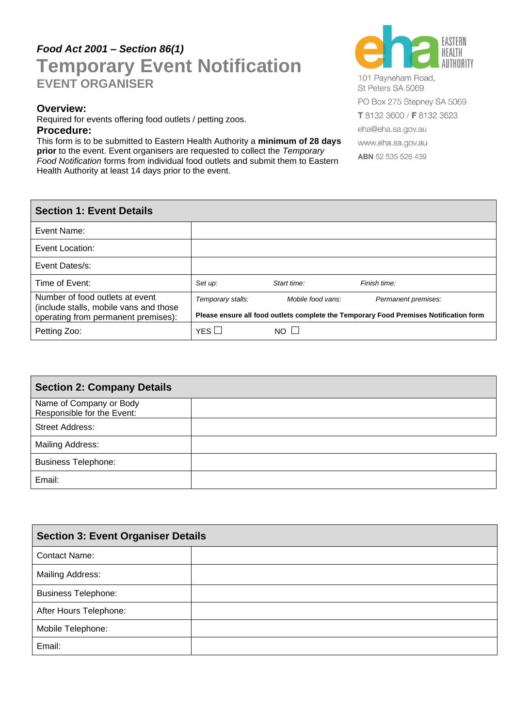# $\overline{\mathbf{G}}$   $\overline{\mathbf{G}}$ *Food Act 2001 – Section 86(1)* **Temporary Event Notification EVENT ORGANISER**

#### **Overview:**

Required for events offering food outlets / petting zoos.

#### **Procedure:**

This form is to be submitted to Eastern Health Authority a **minimum of 28 days prior** to the event. Event organisers are requested to collect the *Temporary Food Notification* forms from individual food outlets and submit them to Eastern Health Authority at least 14 days prior to the event.



101 Payneham Road, St Peters SA 5069 PO Box 275 Stepney SA 5069 T 8132 3600 / F 8132 3623 eha@eha.sa.gov.au www.eha.sa.gov.au **ABN** 52 535 526 439

# **Section 1: Event Details** Event Name: Event Location: Event Dates/s: Time of Event: *Set up: Start time: Finish time:* Number of food outlets at event (include stalls, mobile vans and those operating from permanent premises): *Temporary stalls: Mobile food vans: Permanent premises:* **Please ensure all food outlets complete the Temporary Food Premises Notification form** Petting Zoo:  $\vert$  YES  $\Box$  NO  $\Box$

| <b>Section 2: Company Details</b>                     |  |
|-------------------------------------------------------|--|
| Name of Company or Body<br>Responsible for the Event: |  |
| <b>Street Address:</b>                                |  |
| <b>Mailing Address:</b>                               |  |
| <b>Business Telephone:</b>                            |  |
| Email:                                                |  |

| <b>Section 3: Event Organiser Details</b> |  |  |
|-------------------------------------------|--|--|
| <b>Contact Name:</b>                      |  |  |
| Mailing Address:                          |  |  |
| <b>Business Telephone:</b>                |  |  |
| After Hours Telephone:                    |  |  |
| Mobile Telephone:                         |  |  |
| Email:                                    |  |  |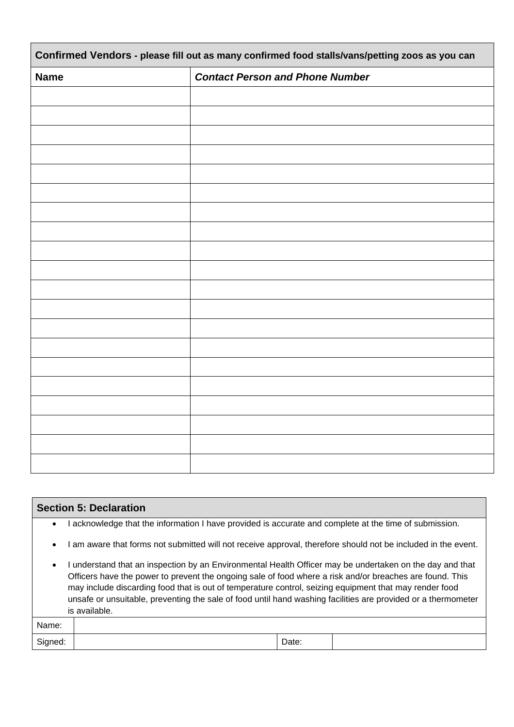| Confirmed Vendors - please fill out as many confirmed food stalls/vans/petting zoos as you can |                                        |  |  |
|------------------------------------------------------------------------------------------------|----------------------------------------|--|--|
| <b>Name</b>                                                                                    | <b>Contact Person and Phone Number</b> |  |  |
|                                                                                                |                                        |  |  |
|                                                                                                |                                        |  |  |
|                                                                                                |                                        |  |  |
|                                                                                                |                                        |  |  |
|                                                                                                |                                        |  |  |
|                                                                                                |                                        |  |  |
|                                                                                                |                                        |  |  |
|                                                                                                |                                        |  |  |
|                                                                                                |                                        |  |  |
|                                                                                                |                                        |  |  |
|                                                                                                |                                        |  |  |
|                                                                                                |                                        |  |  |
|                                                                                                |                                        |  |  |
|                                                                                                |                                        |  |  |
|                                                                                                |                                        |  |  |
|                                                                                                |                                        |  |  |
|                                                                                                |                                        |  |  |
|                                                                                                |                                        |  |  |
|                                                                                                |                                        |  |  |
|                                                                                                |                                        |  |  |

| <b>Section 5: Declaration</b>                                                                                                                                                                                                                                                                                                                                                                                                                                               |                                                                                                             |       |  |
|-----------------------------------------------------------------------------------------------------------------------------------------------------------------------------------------------------------------------------------------------------------------------------------------------------------------------------------------------------------------------------------------------------------------------------------------------------------------------------|-------------------------------------------------------------------------------------------------------------|-------|--|
| $\bullet$                                                                                                                                                                                                                                                                                                                                                                                                                                                                   | acknowledge that the information I have provided is accurate and complete at the time of submission.        |       |  |
| $\bullet$                                                                                                                                                                                                                                                                                                                                                                                                                                                                   | am aware that forms not submitted will not receive approval, therefore should not be included in the event. |       |  |
| understand that an inspection by an Environmental Health Officer may be undertaken on the day and that<br>$\bullet$<br>Officers have the power to prevent the ongoing sale of food where a risk and/or breaches are found. This<br>may include discarding food that is out of temperature control, seizing equipment that may render food<br>unsafe or unsuitable, preventing the sale of food until hand washing facilities are provided or a thermometer<br>is available. |                                                                                                             |       |  |
| Name:                                                                                                                                                                                                                                                                                                                                                                                                                                                                       |                                                                                                             |       |  |
| Signed:                                                                                                                                                                                                                                                                                                                                                                                                                                                                     |                                                                                                             | Date: |  |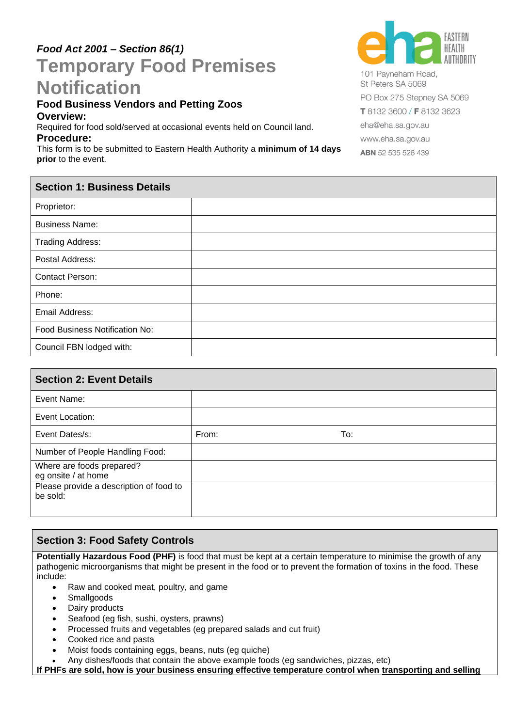# *Food Act 2001 – Section 86(1)* **Temporary Food Premises Notification**

#### **Food Business Vendors and Petting Zoos Overview:**

Required for food sold/served at occasional events held on Council land. **Procedure:**

This form is to be submitted to Eastern Health Authority a **minimum of 14 days prior** to the event.



St Peters SA 5069 PO Box 275 Stepney SA 5069 T 8132 3600 / F 8132 3623 eha@eha.sa.gov.au www.eha.sa.gov.au ABN 52 535 526 439

| <b>Section 1: Business Details</b> |  |
|------------------------------------|--|
| Proprietor:                        |  |
| <b>Business Name:</b>              |  |
| <b>Trading Address:</b>            |  |
| Postal Address:                    |  |
| Contact Person:                    |  |
| Phone:                             |  |
| Email Address:                     |  |
| Food Business Notification No:     |  |
| Council FBN lodged with:           |  |
|                                    |  |

| <b>Section 2: Event Details</b>                     |       |     |
|-----------------------------------------------------|-------|-----|
| Event Name:                                         |       |     |
| Event Location:                                     |       |     |
| Event Dates/s:                                      | From: | To: |
| Number of People Handling Food:                     |       |     |
| Where are foods prepared?<br>eg onsite / at home    |       |     |
| Please provide a description of food to<br>be sold: |       |     |

# **Section 3: Food Safety Controls**

**Potentially Hazardous Food (PHF)** is food that must be kept at a certain temperature to minimise the growth of any pathogenic microorganisms that might be present in the food or to prevent the formation of toxins in the food. These include:

- Raw and cooked meat, poultry, and game
- **Smallgoods**
- Dairy products
- Seafood (eg fish, sushi, oysters, prawns)
- Processed fruits and vegetables (eg prepared salads and cut fruit)
- Cooked rice and pasta
- Moist foods containing eggs, beans, nuts (eg quiche)
- Any dishes/foods that contain the above example foods (eg sandwiches, pizzas, etc)

**If PHFs are sold, how is your business ensuring effective temperature control when transporting and selling**